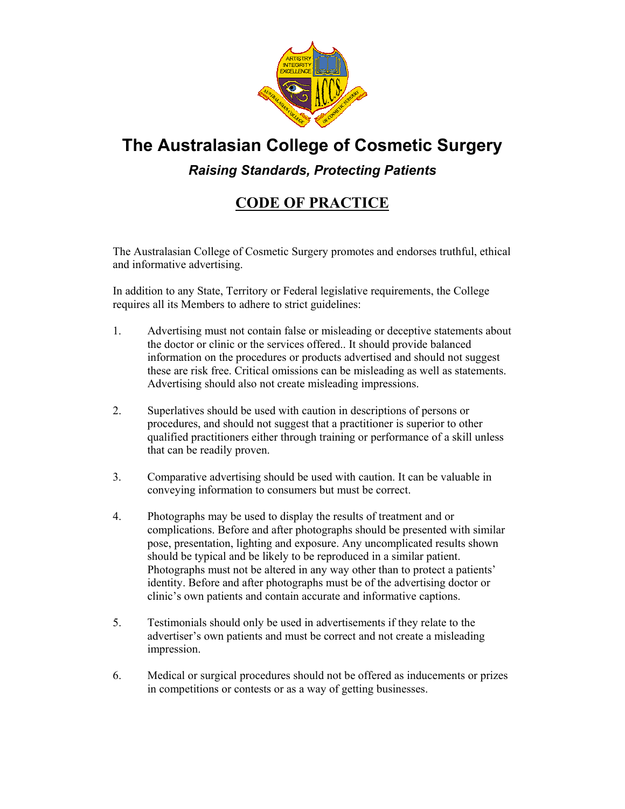

# **The Australasian College of Cosmetic Surgery**

*Raising Standards, Protecting Patients* 

## **CODE OF PRACTICE**

The Australasian College of Cosmetic Surgery promotes and endorses truthful, ethical and informative advertising.

In addition to any State, Territory or Federal legislative requirements, the College requires all its Members to adhere to strict guidelines:

- 1. Advertising must not contain false or misleading or deceptive statements about the doctor or clinic or the services offered.. It should provide balanced information on the procedures or products advertised and should not suggest these are risk free. Critical omissions can be misleading as well as statements. Advertising should also not create misleading impressions.
- 2. Superlatives should be used with caution in descriptions of persons or procedures, and should not suggest that a practitioner is superior to other qualified practitioners either through training or performance of a skill unless that can be readily proven.
- 3. Comparative advertising should be used with caution. It can be valuable in conveying information to consumers but must be correct.
- 4. Photographs may be used to display the results of treatment and or complications. Before and after photographs should be presented with similar pose, presentation, lighting and exposure. Any uncomplicated results shown should be typical and be likely to be reproduced in a similar patient. Photographs must not be altered in any way other than to protect a patients' identity. Before and after photographs must be of the advertising doctor or clinic's own patients and contain accurate and informative captions.
- 5. Testimonials should only be used in advertisements if they relate to the advertiser's own patients and must be correct and not create a misleading impression.
- 6. Medical or surgical procedures should not be offered as inducements or prizes in competitions or contests or as a way of getting businesses.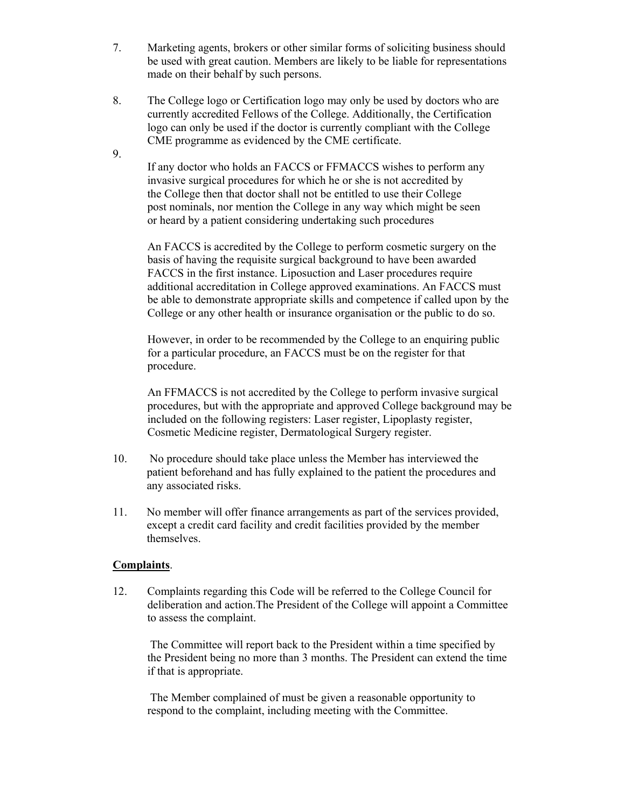- 7. Marketing agents, brokers or other similar forms of soliciting business should be used with great caution. Members are likely to be liable for representations made on their behalf by such persons.
- 8. The College logo or Certification logo may only be used by doctors who are currently accredited Fellows of the College. Additionally, the Certification logo can only be used if the doctor is currently compliant with the College CME programme as evidenced by the CME certificate.

9.

If any doctor who holds an FACCS or FFMACCS wishes to perform any invasive surgical procedures for which he or she is not accredited by the College then that doctor shall not be entitled to use their College post nominals, nor mention the College in any way which might be seen or heard by a patient considering undertaking such procedures

An FACCS is accredited by the College to perform cosmetic surgery on the basis of having the requisite surgical background to have been awarded FACCS in the first instance. Liposuction and Laser procedures require additional accreditation in College approved examinations. An FACCS must be able to demonstrate appropriate skills and competence if called upon by the College or any other health or insurance organisation or the public to do so.

However, in order to be recommended by the College to an enquiring public for a particular procedure, an FACCS must be on the register for that procedure.

An FFMACCS is not accredited by the College to perform invasive surgical procedures, but with the appropriate and approved College background may be included on the following registers: Laser register, Lipoplasty register, Cosmetic Medicine register, Dermatological Surgery register.

- 10. No procedure should take place unless the Member has interviewed the patient beforehand and has fully explained to the patient the procedures and any associated risks.
- 11. No member will offer finance arrangements as part of the services provided, except a credit card facility and credit facilities provided by the member themselves.

### **Complaints**.

12. Complaints regarding this Code will be referred to the College Council for deliberation and action.The President of the College will appoint a Committee to assess the complaint.

 The Committee will report back to the President within a time specified by the President being no more than 3 months. The President can extend the time if that is appropriate.

 The Member complained of must be given a reasonable opportunity to respond to the complaint, including meeting with the Committee.